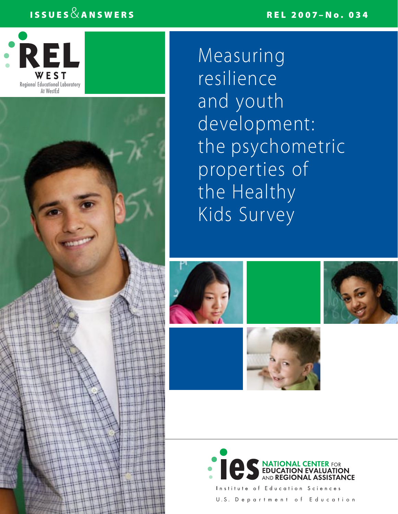## REL 2007–No. 034

## ISSUES  $\&$  ANSWERS



Measuring resilience and youth development: the psychometric properties of the Healthy Kids Survey











Education Sciences U.S. Department of Education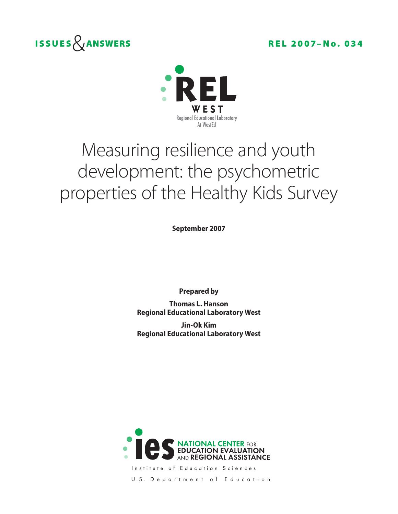



# Measuring resilience and youth development: the psychometric properties of the Healthy Kids Survey

**September 2007**

**Prepared by**

**Thomas L. Hanson Regional Educational Laboratory West** 

**Jin-Ok Kim Regional Educational Laboratory West**



Institute of Education Sciences U.S. Department of Education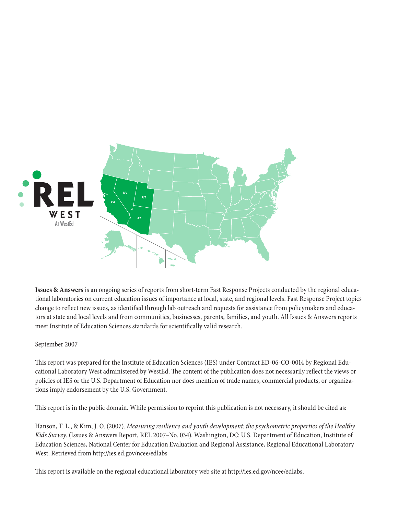

**Issues & Answers** is an ongoing series of reports from short-term Fast Response Projects conducted by the regional educational laboratories on current education issues of importance at local, state, and regional levels. Fast Response Project topics change to reflect new issues, as identified through lab outreach and requests for assistance from policymakers and educators at state and local levels and from communities, businesses, parents, families, and youth. All Issues & Answers reports meet Institute of Education Sciences standards for scientifically valid research.

### September 2007

This report was prepared for the Institute of Education Sciences (IES) under Contract ED-06-CO-0014 by Regional Educational Laboratory West administered by WestEd. The content of the publication does not necessarily reflect the views or policies of IES or the U.S. Department of Education nor does mention of trade names, commercial products, or organizations imply endorsement by the U.S. Government.

This report is in the public domain. While permission to reprint this publication is not necessary, it should be cited as:

Hanson, T. L., & Kim, J. O. (2007). *Measuring resilience and youth development: the psychometric properties of the Healthy Kids Survey.* (Issues & Answers Report, REL 2007–No. 034). Washington, DC: U.S. Department of Education, Institute of Education Sciences, National Center for Education Evaluation and Regional Assistance, Regional Educational Laboratory West. Retrieved from http://ies.ed.gov/ncee/edlabs

This report is available on the regional educational laboratory web site at http://ies.ed.gov/ncee/edlabs.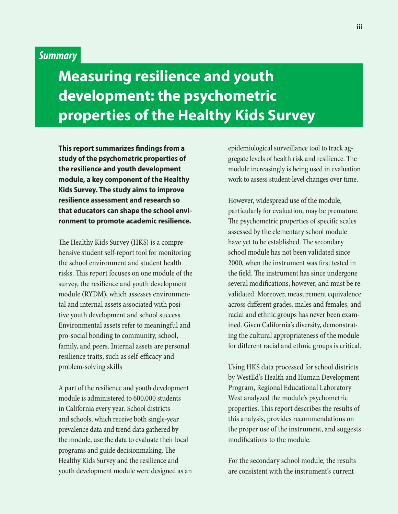## *Summary*

## **Measuring resilience and youth development: the psychometric properties of the Healthy Kids Survey**

**This report summarizes findings from a study of the psychometric properties of the resilience and youth development module, a key component of the Healthy Kids Survey. The study aims to improve resilience assessment and research so that educators can shape the school environment to promote academic resilience.** 

The Healthy Kids Survey (HKS) is a comprehensive student self-report tool for monitoring the school environment and student health risks. This report focuses on one module of the survey, the resilience and youth development module (RYDM), which assesses environmental and internal assets associated with positive youth development and school success. Environmental assets refer to meaningful and pro-social bonding to community, school, family, and peers. Internal assets are personal resilience traits, such as self-efficacy and problem-solving skills

A part of the resilience and youth development module is administered to 600,000 students in California every year. School districts and schools, which receive both single-year prevalence data and trend data gathered by the module, use the data to evaluate their local programs and guide decisionmaking. The Healthy Kids Survey and the resilience and youth development module were designed as an epidemiological surveillance tool to track aggregate levels of health risk and resilience. The module increasingly is being used in evaluation work to assess student-level changes over time.

However, widespread use of the module, particularly for evaluation, may be premature. The psychometric properties of specific scales assessed by the elementary school module have yet to be established. The secondary school module has not been validated since 2000, when the instrument was first tested in the field. The instrument has since undergone several modifications, however, and must be revalidated. Moreover, measurement equivalence across different grades, males and females, and racial and ethnic groups has never been examined. Given California's diversity, demonstrating the cultural appropriateness of the module for different racial and ethnic groups is critical.

Using HKS data processed for school districts by WestEd's Health and Human Development Program, Regional Educational Laboratory West analyzed the module's psychometric properties. This report describes the results of this analysis, provides recommendations on the proper use of the instrument, and suggests modifications to the module.

For the secondary school module, the results are consistent with the instrument's current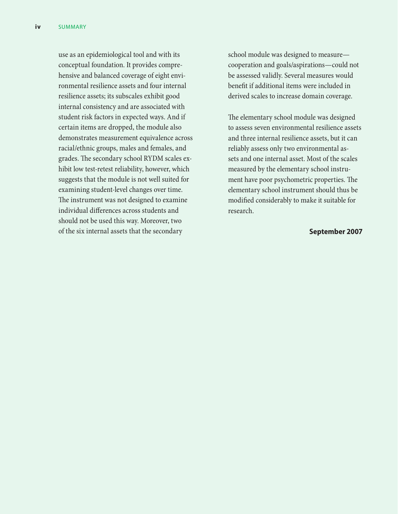use as an epidemiological tool and with its conceptual foundation. It provides comprehensive and balanced coverage of eight environmental resilience assets and four internal resilience assets; its subscales exhibit good internal consistency and are associated with student risk factors in expected ways. And if certain items are dropped, the module also demonstrates measurement equivalence across racial/ethnic groups, males and females, and grades. The secondary school RYDM scales exhibit low test-retest reliability, however, which suggests that the module is not well suited for examining student-level changes over time. The instrument was not designed to examine individual differences across students and should not be used this way. Moreover, two of the six internal assets that the secondary

school module was designed to measure cooperation and goals/aspirations—could not be assessed validly. Several measures would benefit if additional items were included in derived scales to increase domain coverage.

The elementary school module was designed to assess seven environmental resilience assets and three internal resilience assets, but it can reliably assess only two environmental assets and one internal asset. Most of the scales measured by the elementary school instrument have poor psychometric properties. The elementary school instrument should thus be modified considerably to make it suitable for research.

#### **September 2007**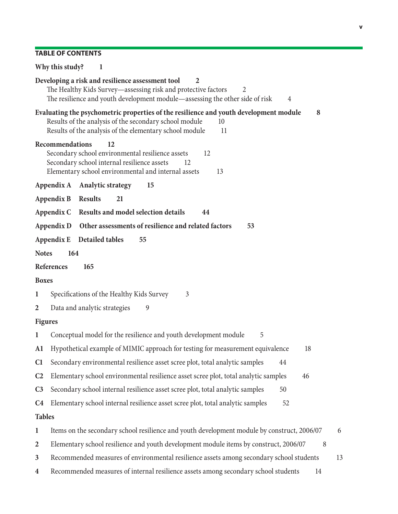## **Table of contents**

|                  | Why this study?<br>1                                                                                                                                                                                                          |
|------------------|-------------------------------------------------------------------------------------------------------------------------------------------------------------------------------------------------------------------------------|
|                  | Developing a risk and resilience assessment tool<br>$\overline{2}$<br>The Healthy Kids Survey-assessing risk and protective factors<br>2<br>The resilience and youth development module—assessing the other side of risk<br>4 |
|                  | Evaluating the psychometric properties of the resilience and youth development module<br>8<br>Results of the analysis of the secondary school module<br>10<br>Results of the analysis of the elementary school module<br>11   |
|                  | <b>Recommendations</b><br>12<br>Secondary school environmental resilience assets<br>12<br>Secondary school internal resilience assets<br>12<br>Elementary school environmental and internal assets<br>13                      |
|                  | Appendix A Analytic strategy<br>15                                                                                                                                                                                            |
|                  | <b>Appendix B</b><br><b>Results</b><br>21                                                                                                                                                                                     |
|                  | <b>Results and model selection details</b><br>Appendix C<br>44                                                                                                                                                                |
|                  | Other assessments of resilience and related factors<br>Appendix D<br>53                                                                                                                                                       |
|                  | Appendix E<br>Detailed tables<br>55                                                                                                                                                                                           |
| <b>Notes</b>     | 164                                                                                                                                                                                                                           |
|                  | <b>References</b><br>165                                                                                                                                                                                                      |
| <b>Boxes</b>     |                                                                                                                                                                                                                               |
| 1                | Specifications of the Healthy Kids Survey<br>3                                                                                                                                                                                |
| $\overline{2}$   | Data and analytic strategies<br>9                                                                                                                                                                                             |
| <b>Figures</b>   |                                                                                                                                                                                                                               |
| $\mathbf{1}$     | Conceptual model for the resilience and youth development module<br>5                                                                                                                                                         |
| A1               | Hypothetical example of MIMIC approach for testing for measurement equivalence<br>18                                                                                                                                          |
| C1               | Secondary environmental resilience asset scree plot, total analytic samples<br>44                                                                                                                                             |
| C <sub>2</sub>   | Elementary school environmental resilience asset scree plot, total analytic samples<br>46                                                                                                                                     |
| C <sub>3</sub>   | Secondary school internal resilience asset scree plot, total analytic samples<br>50                                                                                                                                           |
| C <sub>4</sub>   | Elementary school internal resilience asset scree plot, total analytic samples<br>52                                                                                                                                          |
| <b>Tables</b>    |                                                                                                                                                                                                                               |
| $\mathbf{1}$     | Items on the secondary school resilience and youth development module by construct, 2006/07<br>6                                                                                                                              |
| $\overline{2}$   | Elementary school resilience and youth development module items by construct, 2006/07<br>8                                                                                                                                    |
| 3                | Recommended measures of environmental resilience assets among secondary school students<br>13                                                                                                                                 |
| $\boldsymbol{4}$ | Recommended measures of internal resilience assets among secondary school students<br>14                                                                                                                                      |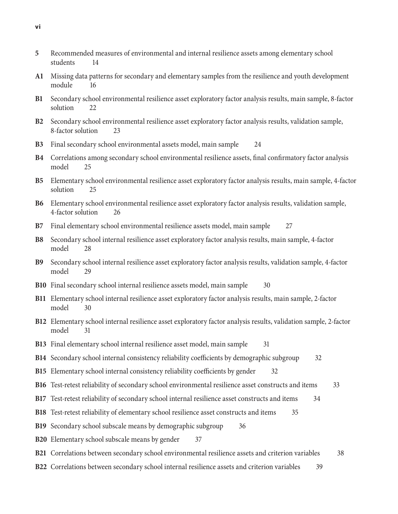- **5** Recommended measures of environmental and internal resilience assets among elementary school students 14
- **A1** Missing data patterns for secondary and elementary samples from the resilience and youth development module 16
- **B1** Secondary school environmental resilience asset exploratory factor analysis results, main sample, 8-factor solution 22
- **B2** Secondary school environmental resilience asset exploratory factor analysis results, validation sample, 8-factor solution 23
- **B3** Final secondary school environmental assets model, main sample 24
- **B4** Correlations among secondary school environmental resilience assets, final confirmatory factor analysis model 25
- **B5** Elementary school environmental resilience asset exploratory factor analysis results, main sample, 4-factor solution 25
- **B6** Elementary school environmental resilience asset exploratory factor analysis results, validation sample, 4-factor solution 26
- **B7** Final elementary school environmental resilience assets model, main sample 27
- **B8** Secondary school internal resilience asset exploratory factor analysis results, main sample, 4-factor model 28
- **B9** Secondary school internal resilience asset exploratory factor analysis results, validation sample, 4-factor model 29
- **B10** Final secondary school internal resilience assets model, main sample 30
- **B11** Elementary school internal resilience asset exploratory factor analysis results, main sample, 2-factor model 30
- **B12** Elementary school internal resilience asset exploratory factor analysis results, validation sample, 2-factor model 31
- **B13** Final elementary school internal resilience asset model, main sample 31
- **B14** Secondary school internal consistency reliability coefficients by demographic subgroup 32
- **B15** Elementary school internal consistency reliability coefficients by gender 32
- **B16** Test-retest reliability of secondary school environmental resilience asset constructs and items 33
- **B17** Test-retest reliability of secondary school internal resilience asset constructs and items 34
- **B18** Test-retest reliability of elementary school resilience asset constructs and items 35
- **B19** Secondary school subscale means by demographic subgroup 36
- **B20** Elementary school subscale means by gender 37
- **B21** Correlations between secondary school environmental resilience assets and criterion variables 38
- **B22** Correlations between secondary school internal resilience assets and criterion variables 39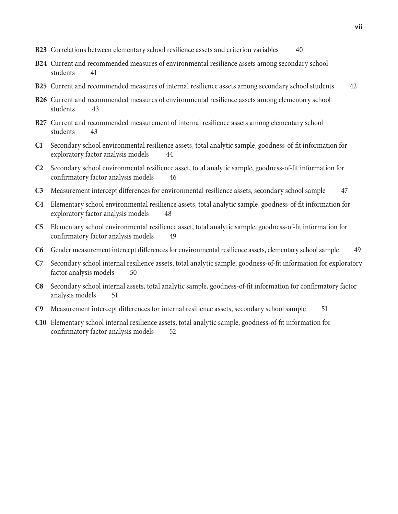- **B23** Correlations between elementary school resilience assets and criterion variables 40
- **B24** Current and recommended measures of environmental resilience assets among secondary school students 41
- **B25** Current and recommended measures of internal resilience assets among secondary school students 42
- **B26** Current and recommended measures of environmental resilience assets among elementary school students 43
- **B27** Current and recommended measurement of internal resilience assets among elementary school students 43
- **C1** Secondary school environmental resilience assets, total analytic sample, goodness-of-fit information for exploratory factor analysis models 44
- **C2** Secondary school environmental resilience asset, total analytic sample, goodness-of-fit information for confirmatory factor analysis models 46
- **C3** Measurement intercept differences for environmental resilience assets, secondary school sample 47
- **C4** Elementary school environmental resilience assets, total analytic sample, goodness-of-fit information for exploratory factor analysis models 48
- **C5** Elementary school environmental resilience asset, total analytic sample, goodness-of-fit information for confirmatory factor analysis models 49
- **C6** Gender measurement intercept differences for environmental resilience assets, elementary school sample 49
- **C7** Secondary school internal resilience assets, total analytic sample, goodness-of-fit information for exploratory factor analysis models 50
- **C8** Secondary school internal assets, total analytic sample, goodness-of-fit information for confirmatory factor analysis models 51
- **C9** Measurement intercept differences for internal resilience assets, secondary school sample 51
- **C10** Elementary school internal resilience assets, total analytic sample, goodness-of-fit information for confirmatory factor analysis models 52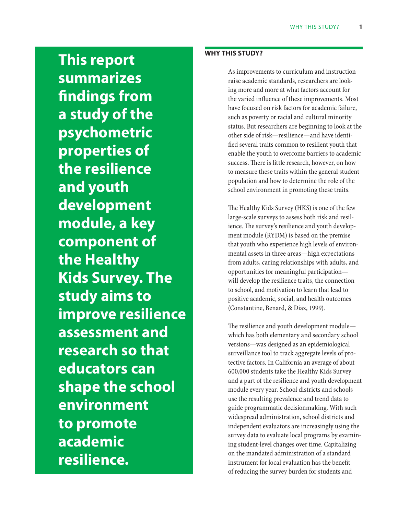**This report summarizes findings from a study of the psychometric properties of the resilience and youth development module, a key component of the Healthy Kids Survey. The study aims to improve resilience assessment and research so that educators can shape the school environment to promote academic resilience.** 

## **Why this study?**

As improvements to curriculum and instruction raise academic standards, researchers are looking more and more at what factors account for the varied influence of these improvements. Most have focused on risk factors for academic failure, such as poverty or racial and cultural minority status. But researchers are beginning to look at the other side of risk—resilience—and have identified several traits common to resilient youth that enable the youth to overcome barriers to academic success. There is little research, however, on how to measure these traits within the general student population and how to determine the role of the school environment in promoting these traits.

The Healthy Kids Survey (HKS) is one of the few large-scale surveys to assess both risk and resilience. The survey's resilience and youth development module (RYDM) is based on the premise that youth who experience high levels of environmental assets in three areas—high expectations from adults, caring relationships with adults, and opportunities for meaningful participation will develop the resilience traits, the connection to school, and motivation to learn that lead to positive academic, social, and health outcomes (Constantine, Benard, & Diaz, 1999).

The resilience and youth development module which has both elementary and secondary school versions—was designed as an epidemiological surveillance tool to track aggregate levels of protective factors. In California an average of about 600,000 students take the Healthy Kids Survey and a part of the resilience and youth development module every year. School districts and schools use the resulting prevalence and trend data to guide programmatic decisionmaking. With such widespread administration, school districts and independent evaluators are increasingly using the survey data to evaluate local programs by examining student-level changes over time. Capitalizing on the mandated administration of a standard instrument for local evaluation has the benefit of reducing the survey burden for students and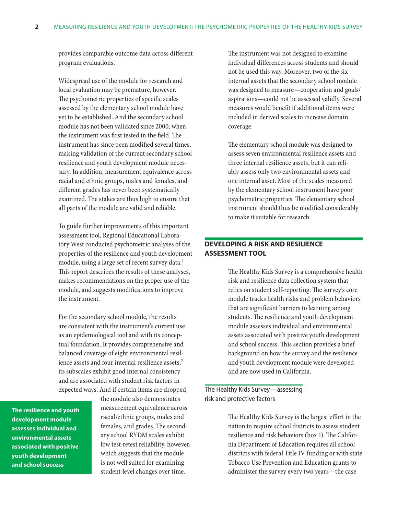provides comparable outcome data across different program evaluations.

Widespread use of the module for research and local evaluation may be premature, however. The psychometric properties of specific scales assessed by the elementary school module have yet to be established. And the secondary school module has not been validated since 2000, when the instrument was first tested in the field. The instrument has since been modified several times, making validation of the current secondary school resilience and youth development module necessary. In addition, measurement equivalence across racial and ethnic groups, males and females, and different grades has never been systematically examined. The stakes are thus high to ensure that all parts of the module are valid and reliable.

To guide further improvements of this important assessment tool, Regional Educational Laboratory West conducted psychometric analyses of the properties of the resilience and youth development module, using a large set of recent survey data.<sup>1</sup> This report describes the results of these analyses, makes recommendations on the proper use of the module, and suggests modifications to improve the instrument.

For the secondary school module, the results are consistent with the instrument's current use as an epidemiological tool and with its conceptual foundation. It provides comprehensive and balanced coverage of eight environmental resilience assets and four internal resilience assets;<sup>2</sup> its subscales exhibit good internal consistency and are associated with student risk factors in expected ways. And if certain items are dropped,

**The resilience and youth development module assesses individual and environmental assets associated with positive youth development and school success**

the module also demonstrates measurement equivalence across racial/ethnic groups, males and females, and grades. The secondary school RYDM scales exhibit low test-retest reliability, however, which suggests that the module is not well suited for examining student-level changes over time.

The instrument was not designed to examine individual differences across students and should not be used this way. Moreover, two of the six internal assets that the secondary school module was designed to measure—cooperation and goals/ aspirations—could not be assessed validly. Several measures would benefit if additional items were included in derived scales to increase domain coverage.

The elementary school module was designed to assess seven environmental resilience assets and three internal resilience assets, but it can reliably assess only two environmental assets and one internal asset. Most of the scales measured by the elementary school instrument have poor psychometric properties. The elementary school instrument should thus be modified considerably to make it suitable for research.

### **Developing a risk and resilience assessment tool**

The Healthy Kids Survey is a comprehensive health risk and resilience data collection system that relies on student self-reporting. The survey's core module tracks health risks and problem behaviors that are significant barriers to learning among students. The resilience and youth development module assesses individual and environmental assets associated with positive youth development and school success. This section provides a brief background on how the survey and the resilience and youth development module were developed and are now used in California.

The Healthy Kids Survey—assessing risk and protective factors

> The Healthy Kids Survey is the largest effort in the nation to require school districts to assess student resilience and risk behaviors (box 1). The California Department of Education requires all school districts with federal Title IV funding or with state Tobacco Use Prevention and Education grants to administer the survey every two years—the case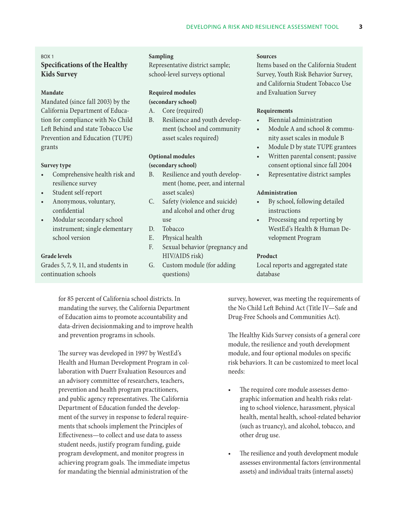#### Box 1

## **Specifications of the Healthy Kids Survey**

#### **Mandate**

Mandated (since fall 2003) by the California Department of Education for compliance with No Child Left Behind and state Tobacco Use Prevention and Education (TUPE) grants

#### **Survey type**

- • Comprehensive health risk and resilience survey
- • Student self-report
- Anonymous, voluntary, confidential
- Modular secondary school instrument; single elementary school version

#### **Grade levels**

Grades 5, 7, 9, 11, and students in continuation schools

**Sampling**

Representative district sample; school-level surveys optional

#### **Required modules**

#### **(secondary school)**

- A. Core (required)
- B. Resilience and youth development (school and community asset scales required)

#### **Optional modules**

#### **(secondary school)**

- B. Resilience and youth development (home, peer, and internal asset scales)
- C. Safety (violence and suicide) and alcohol and other drug use
- D. Tobacco
- E. Physical health
- F. Sexual behavior (pregnancy and HIV/AIDS risk)
- G. Custom module (for adding questions)

#### **Sources**

Items based on the California Student Survey, Youth Risk Behavior Survey, and California Student Tobacco Use and Evaluation Survey

#### **Requirements**

- Biennial administration
- Module A and school & community asset scales in module B
- Module D by state TUPE grantees
- Written parental consent; passive consent optional since fall 2004
- • Representative district samples

#### **Administration**

- By school, following detailed instructions
- Processing and reporting by WestEd's Health & Human Development Program

#### **Product**

Local reports and aggregated state database

for 85 percent of California school districts. In mandating the survey, the California Department of Education aims to promote accountability and data-driven decisionmaking and to improve health and prevention programs in schools.

The survey was developed in 1997 by WestEd's Health and Human Development Program in collaboration with Duerr Evaluation Resources and an advisory committee of researchers, teachers, prevention and health program practitioners, and public agency representatives. The California Department of Education funded the development of the survey in response to federal requirements that schools implement the Principles of Effectiveness—to collect and use data to assess student needs, justify program funding, guide program development, and monitor progress in achieving program goals. The immediate impetus for mandating the biennial administration of the

survey, however, was meeting the requirements of the No Child Left Behind Act (Title IV—Safe and Drug-Free Schools and Communities Act).

The Healthy Kids Survey consists of a general core module, the resilience and youth development module, and four optional modules on specific risk behaviors. It can be customized to meet local needs:

- The required core module assesses demographic information and health risks relating to school violence, harassment, physical health, mental health, school-related behavior (such as truancy), and alcohol, tobacco, and other drug use.
- The resilience and youth development module assesses environmental factors (environmental assets) and individual traits (internal assets)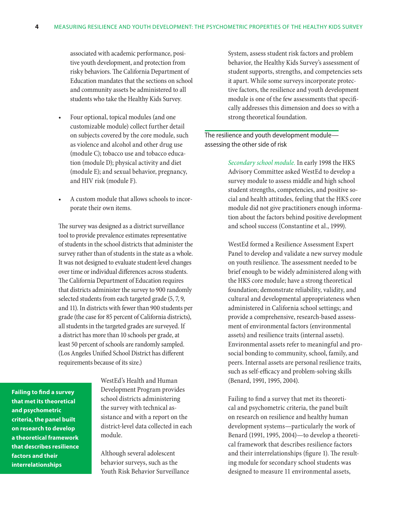associated with academic performance, positive youth development, and protection from risky behaviors. The California Department of Education mandates that the sections on school and community assets be administered to all students who take the Healthy Kids Survey.

- Four optional, topical modules (and one customizable module) collect further detail on subjects covered by the core module, such as violence and alcohol and other drug use (module C); tobacco use and tobacco education (module D); physical activity and diet (module E); and sexual behavior, pregnancy, and HIV risk (module F).
- A custom module that allows schools to incorporate their own items.

The survey was designed as a district surveillance tool to provide prevalence estimates representative of students in the school districts that administer the survey rather than of students in the state as a whole. It was not designed to evaluate student-level changes over time or individual differences across students. The California Department of Education requires that districts administer the survey to 900 randomly selected students from each targeted grade (5, 7, 9, and 11). In districts with fewer than 900 students per grade (the case for 85 percent of California districts), all students in the targeted grades are surveyed. If a district has more than 10 schools per grade, at least 50 percent of schools are randomly sampled. (Los Angeles Unified School District has different requirements because of its size.)

**Failing to find a survey that met its theoretical and psychometric criteria, the panel built on research to develop a theoretical framework that describes resilience factors and their interrelationships**

WestEd's Health and Human Development Program provides school districts administering the survey with technical assistance and with a report on the district-level data collected in each module.

Although several adolescent behavior surveys, such as the Youth Risk Behavior Surveillance System, assess student risk factors and problem behavior, the Healthy Kids Survey's assessment of student supports, strengths, and competencies sets it apart. While some surveys incorporate protective factors, the resilience and youth development module is one of the few assessments that specifically addresses this dimension and does so with a strong theoretical foundation.

The resilience and youth development module assessing the other side of risk

> *Secondary school module.* In early 1998 the HKS Advisory Committee asked WestEd to develop a survey module to assess middle and high school student strengths, competencies, and positive social and health attitudes, feeling that the HKS core module did not give practitioners enough information about the factors behind positive development and school success (Constantine et al., 1999).

> WestEd formed a Resilience Assessment Expert Panel to develop and validate a new survey module on youth resilience. The assessment needed to be brief enough to be widely administered along with the HKS core module; have a strong theoretical foundation; demonstrate reliability, validity, and cultural and developmental appropriateness when administered in California school settings; and provide a comprehensive, research-based assessment of environmental factors (environmental assets) and resilience traits (internal assets). Environmental assets refer to meaningful and prosocial bonding to community, school, family, and peers. Internal assets are personal resilience traits, such as self-efficacy and problem-solving skills (Benard, 1991, 1995, 2004).

Failing to find a survey that met its theoretical and psychometric criteria, the panel built on research on resilience and healthy human development systems—particularly the work of Benard (1991, 1995, 2004)—to develop a theoretical framework that describes resilience factors and their interrelationships (figure 1). The resulting module for secondary school students was designed to measure 11 environmental assets,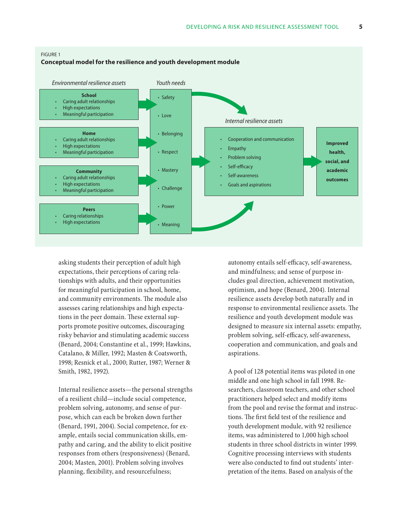

asking students their perception of adult high expectations, their perceptions of caring relationships with adults, and their opportunities for meaningful participation in school, home, and community environments. The module also assesses caring relationships and high expectations in the peer domain. These external supports promote positive outcomes, discouraging risky behavior and stimulating academic success (Benard, 2004; Constantine et al., 1999; Hawkins, Catalano, & Miller, 1992; Masten & Coatsworth, 1998; Resnick et al., 2000; Rutter, 1987; Werner & Smith, 1982, 1992).

Internal resilience assets—the personal strengths of a resilient child—include social competence, problem solving, autonomy, and sense of purpose, which can each be broken down further (Benard, 1991, 2004). Social competence, for example, entails social communication skills, empathy and caring, and the ability to elicit positive responses from others (responsiveness) (Benard, 2004; Masten, 2001). Problem solving involves planning, flexibility, and resourcefulness;

autonomy entails self-efficacy, self-awareness, and mindfulness; and sense of purpose includes goal direction, achievement motivation, optimism, and hope (Benard, 2004). Internal resilience assets develop both naturally and in response to environmental resilience assets. The resilience and youth development module was designed to measure six internal assets: empathy, problem solving, self-efficacy, self-awareness, cooperation and communication, and goals and aspirations.

A pool of 128 potential items was piloted in one middle and one high school in fall 1998. Researchers, classroom teachers, and other school practitioners helped select and modify items from the pool and revise the format and instructions. The first field test of the resilience and youth development module, with 92 resilience items, was administered to 1,000 high school students in three school districts in winter 1999. Cognitive processing interviews with students were also conducted to find out students' interpretation of the items. Based on analysis of the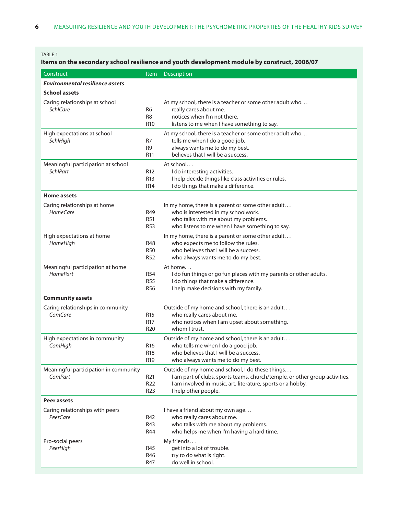#### TABLE 1

## **Items on the secondary school resilience and youth development module by construct, 2006/07**

| Construct                                             | Item                                                  | Description                                                                                                                                                                                                            |
|-------------------------------------------------------|-------------------------------------------------------|------------------------------------------------------------------------------------------------------------------------------------------------------------------------------------------------------------------------|
| <b>Environmental resilience assets</b>                |                                                       |                                                                                                                                                                                                                        |
| <b>School assets</b>                                  |                                                       |                                                                                                                                                                                                                        |
| Caring relationships at school<br><b>SchICare</b>     | R <sub>6</sub><br>R <sub>8</sub><br>R <sub>10</sub>   | At my school, there is a teacher or some other adult who<br>really cares about me.<br>notices when I'm not there.<br>listens to me when I have something to say.                                                       |
| High expectations at school<br>SchlHigh               | R7<br>R <sub>9</sub><br>R <sub>11</sub>               | At my school, there is a teacher or some other adult who<br>tells me when I do a good job.<br>always wants me to do my best.<br>believes that I will be a success.                                                     |
| Meaningful participation at school<br><b>SchlPart</b> | R <sub>12</sub><br>R <sub>13</sub><br>R <sub>14</sub> | At school<br>I do interesting activities.<br>I help decide things like class activities or rules.<br>I do things that make a difference.                                                                               |
| <b>Home assets</b>                                    |                                                       |                                                                                                                                                                                                                        |
| Caring relationships at home<br><b>HomeCare</b>       | R49<br>R51<br><b>R53</b>                              | In my home, there is a parent or some other adult<br>who is interested in my schoolwork.<br>who talks with me about my problems.<br>who listens to me when I have something to say.                                    |
| High expectations at home<br>HomeHigh                 | <b>R48</b><br><b>R50</b><br>R <sub>52</sub>           | In my home, there is a parent or some other adult<br>who expects me to follow the rules.<br>who believes that I will be a success.<br>who always wants me to do my best.                                               |
| Meaningful participation at home<br><b>HomePart</b>   | <b>R54</b><br><b>R55</b><br>R <sub>56</sub>           | At home<br>I do fun things or go fun places with my parents or other adults.<br>I do things that make a difference.<br>I help make decisions with my family.                                                           |
| <b>Community assets</b>                               |                                                       |                                                                                                                                                                                                                        |
| Caring relationships in community<br>ComCare          | R <sub>15</sub><br>R <sub>17</sub><br>R <sub>20</sub> | Outside of my home and school, there is an adult<br>who really cares about me.<br>who notices when I am upset about something.<br>whom I trust.                                                                        |
| High expectations in community<br>ComHigh             | R <sub>16</sub><br>R <sub>18</sub><br>R19             | Outside of my home and school, there is an adult<br>who tells me when I do a good job.<br>who believes that I will be a success.<br>who always wants me to do my best.                                                 |
| Meaningful participation in community<br>ComPart      | R21<br>R <sub>22</sub><br>R <sub>23</sub>             | Outside of my home and school, I do these things<br>I am part of clubs, sports teams, church/temple, or other group activities.<br>I am involved in music, art, literature, sports or a hobby.<br>I help other people. |
| Peer assets                                           |                                                       |                                                                                                                                                                                                                        |
| Caring relationships with peers<br>PeerCare           | R42<br>R43<br>R44                                     | I have a friend about my own age<br>who really cares about me.<br>who talks with me about my problems.<br>who helps me when I'm having a hard time.                                                                    |
| Pro-social peers<br>PeerHigh                          | R45<br>R46<br>R47                                     | My friends<br>get into a lot of trouble.<br>try to do what is right.<br>do well in school.                                                                                                                             |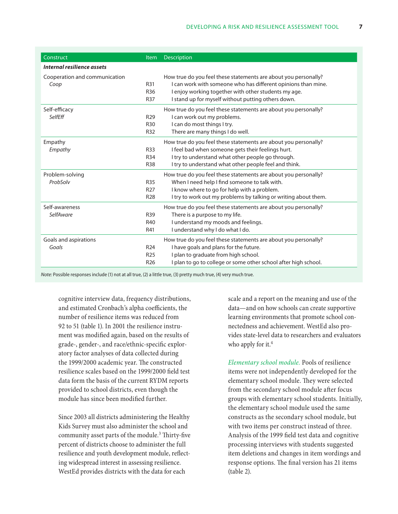| Construct                     | <b>Item</b>     | <b>Description</b>                                              |
|-------------------------------|-----------------|-----------------------------------------------------------------|
| Internal resilience assets    |                 |                                                                 |
| Cooperation and communication |                 | How true do you feel these statements are about you personally? |
| Coop                          | R31             | I can work with someone who has different opinions than mine.   |
|                               | R36             | I enjoy working together with other students my age.            |
|                               | <b>R37</b>      | I stand up for myself without putting others down.              |
| Self-efficacy                 |                 | How true do you feel these statements are about you personally? |
| SelfEff                       | R <sub>29</sub> | I can work out my problems.                                     |
|                               | R <sub>30</sub> | I can do most things I try.                                     |
|                               | <b>R32</b>      | There are many things I do well.                                |
| Empathy                       |                 | How true do you feel these statements are about you personally? |
| Empathy                       | <b>R33</b>      | I feel bad when someone gets their feelings hurt.               |
|                               | R34             | I try to understand what other people go through.               |
|                               | <b>R38</b>      | I try to understand what other people feel and think.           |
| Problem-solving               |                 | How true do you feel these statements are about you personally? |
| ProbSolv                      | <b>R35</b>      | When I need help I find someone to talk with.                   |
|                               | R <sub>27</sub> | I know where to go for help with a problem.                     |
|                               | R <sub>28</sub> | I try to work out my problems by talking or writing about them. |
| Self-awareness                |                 | How true do you feel these statements are about you personally? |
| SelfAware                     | R39             | There is a purpose to my life.                                  |
|                               | R40             | I understand my moods and feelings.                             |
|                               | R41             | I understand why I do what I do.                                |
| Goals and aspirations         |                 | How true do you feel these statements are about you personally? |
| Goals                         | R <sub>24</sub> | I have goals and plans for the future.                          |
|                               | R <sub>25</sub> | I plan to graduate from high school.                            |
|                               | R <sub>26</sub> | I plan to go to college or some other school after high school. |

*Note:* Possible responses include (1) not at all true, (2) a little true, (3) pretty much true, (4) very much true.

cognitive interview data, frequency distributions, and estimated Cronbach's alpha coefficients, the number of resilience items was reduced from 92 to 51 (table 1). In 2001 the resilience instrument was modified again, based on the results of grade-, gender-, and race/ethnic-specific exploratory factor analyses of data collected during the 1999/2000 academic year. The constructed resilience scales based on the 1999/2000 field test data form the basis of the current RYDM reports provided to school districts, even though the module has since been modified further.

Since 2003 all districts administering the Healthy Kids Survey must also administer the school and community asset parts of the module.<sup>3</sup> Thirty-five percent of districts choose to administer the full resilience and youth development module, reflecting widespread interest in assessing resilience. WestEd provides districts with the data for each

scale and a report on the meaning and use of the data—and on how schools can create supportive learning environments that promote school connectedness and achievement. WestEd also provides state-level data to researchers and evaluators who apply for it.<sup>4</sup>

*Elementary school module.* Pools of resilience items were not independently developed for the elementary school module. They were selected from the secondary school module after focus groups with elementary school students. Initially, the elementary school module used the same constructs as the secondary school module, but with two items per construct instead of three. Analysis of the 1999 field test data and cognitive processing interviews with students suggested item deletions and changes in item wordings and response options. The final version has 21 items (table 2).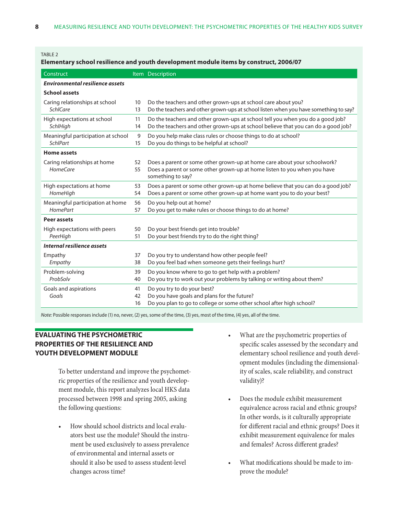#### TABLE<sub>2</sub>

| Elementary school resilience and youth development module items by construct, 2006/07 |                |                                                                                                                                                                           |  |  |  |
|---------------------------------------------------------------------------------------|----------------|---------------------------------------------------------------------------------------------------------------------------------------------------------------------------|--|--|--|
| Construct                                                                             |                | Item Description                                                                                                                                                          |  |  |  |
| <b>Environmental resilience assets</b>                                                |                |                                                                                                                                                                           |  |  |  |
| <b>School assets</b>                                                                  |                |                                                                                                                                                                           |  |  |  |
| Caring relationships at school<br><b>SchlCare</b>                                     | 10<br>13       | Do the teachers and other grown-ups at school care about you?<br>Do the teachers and other grown-ups at school listen when you have something to say?                     |  |  |  |
| High expectations at school<br>SchlHigh                                               | 11<br>14       | Do the teachers and other grown-ups at school tell you when you do a good job?<br>Do the teachers and other grown-ups at school believe that you can do a good job?       |  |  |  |
| Meaningful participation at school<br><b>SchlPart</b>                                 | 9<br>15        | Do you help make class rules or choose things to do at school?<br>Do you do things to be helpful at school?                                                               |  |  |  |
| <b>Home assets</b>                                                                    |                |                                                                                                                                                                           |  |  |  |
| Caring relationships at home<br>HomeCare                                              | 52<br>55       | Does a parent or some other grown-up at home care about your schoolwork?<br>Does a parent or some other grown-up at home listen to you when you have<br>something to say? |  |  |  |
| High expectations at home<br>HomeHigh                                                 | 53<br>54       | Does a parent or some other grown-up at home believe that you can do a good job?<br>Does a parent or some other grown-up at home want you to do your best?                |  |  |  |
| Meaningful participation at home<br><b>HomePart</b>                                   | 56<br>57       | Do you help out at home?<br>Do you get to make rules or choose things to do at home?                                                                                      |  |  |  |
| Peer assets                                                                           |                |                                                                                                                                                                           |  |  |  |
| High expectations with peers<br>PeerHigh                                              | 50<br>51       | Do your best friends get into trouble?<br>Do your best friends try to do the right thing?                                                                                 |  |  |  |
| Internal resilience assets                                                            |                |                                                                                                                                                                           |  |  |  |
| Empathy<br>Empathy                                                                    | 37<br>38       | Do you try to understand how other people feel?<br>Do you feel bad when someone gets their feelings hurt?                                                                 |  |  |  |
| Problem-solving<br>ProbSolv                                                           | 39<br>40       | Do you know where to go to get help with a problem?<br>Do you try to work out your problems by talking or writing about them?                                             |  |  |  |
| Goals and aspirations<br>Goals                                                        | 41<br>42<br>16 | Do you try to do your best?<br>Do you have goals and plans for the future?<br>Do you plan to go to college or some other school after high school?                        |  |  |  |

*Note:* Possible responses include (1) no, never, (2) yes, some of the time, (3) yes, most of the time, (4) yes, all of the time.

## **Evaluating the psychometric properties of the resilience and youth development module**

To better understand and improve the psychometric properties of the resilience and youth development module, this report analyzes local HKS data processed between 1998 and spring 2005, asking the following questions:

How should school districts and local evaluators best use the module? Should the instrument be used exclusively to assess prevalence of environmental and internal assets or should it also be used to assess student-level changes across time?

- • What are the psychometric properties of specific scales assessed by the secondary and elementary school resilience and youth development modules (including the dimensionality of scales, scale reliability, and construct validity)?
- Does the module exhibit measurement equivalence across racial and ethnic groups? In other words, is it culturally appropriate for different racial and ethnic groups? Does it exhibit measurement equivalence for males and females? Across different grades?
- What modifications should be made to improve the module?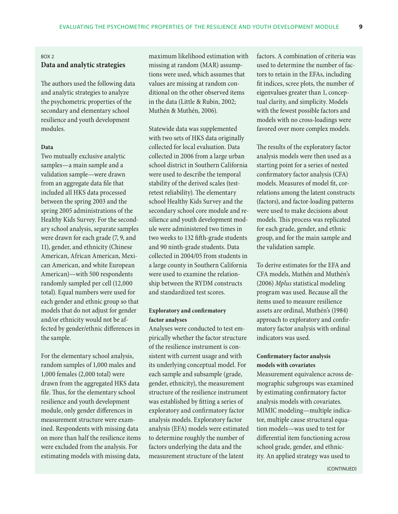#### Box 2

## **Data and analytic strategies**

The authors used the following data and analytic strategies to analyze the psychometric properties of the secondary and elementary school resilience and youth development modules.

#### **Data**

Two mutually exclusive analytic samples—a main sample and a validation sample—were drawn from an aggregate data file that included all HKS data processed between the spring 2003 and the spring 2005 administrations of the Healthy Kids Survey. For the secondary school analysis, separate samples were drawn for each grade (7, 9, and 11), gender, and ethnicity (Chinese American, African American, Mexican American, and white European American)—with 500 respondents randomly sampled per cell (12,000 total). Equal numbers were used for each gender and ethnic group so that models that do not adjust for gender and/or ethnicity would not be affected by gender/ethnic differences in the sample.

For the elementary school analysis, random samples of 1,000 males and 1,000 females (2,000 total) were drawn from the aggregated HKS data file. Thus, for the elementary school resilience and youth development module, only gender differences in measurement structure were examined. Respondents with missing data on more than half the resilience items were excluded from the analysis. For estimating models with missing data,

maximum likelihood estimation with missing at random (MAR) assumptions were used, which assumes that values are missing at random conditional on the other observed items in the data (Little & Rubin, 2002; Muthén & Muthén, 2006).

Statewide data was supplemented with two sets of HKS data originally collected for local evaluation. Data collected in 2006 from a large urban school district in Southern California were used to describe the temporal stability of the derived scales (testretest reliability). The elementary school Healthy Kids Survey and the secondary school core module and resilience and youth development module were administered two times in two weeks to 132 fifth-grade students and 90 ninth-grade students. Data collected in 2004/05 from students in a large county in Southern California were used to examine the relationship between the RYDM constructs and standardized test scores.

#### **Exploratory and confirmatory factor analyses**

Analyses were conducted to test empirically whether the factor structure of the resilience instrument is consistent with current usage and with its underlying conceptual model. For each sample and subsample (grade, gender, ethnicity), the measurement structure of the resilience instrument was established by fitting a series of exploratory and confirmatory factor analysis models. Exploratory factor analysis (EFA) models were estimated to determine roughly the number of factors underlying the data and the measurement structure of the latent

factors. A combination of criteria was used to determine the number of factors to retain in the EFAs, including fit indices, scree plots, the number of eigenvalues greater than 1, conceptual clarity, and simplicity. Models with the fewest possible factors and models with no cross-loadings were favored over more complex models.

The results of the exploratory factor analysis models were then used as a starting point for a series of nested confirmatory factor analysis (CFA) models. Measures of model fit, correlations among the latent constructs (factors), and factor-loading patterns were used to make decisions about models. This process was replicated for each grade, gender, and ethnic group, and for the main sample and the validation sample.

To derive estimates for the EFA and CFA models, Muthén and Muthén's (2006) *Mplus* statistical modeling program was used. Because all the items used to measure resilience assets are ordinal, Muthén's (1984) approach to exploratory and confirmatory factor analysis with ordinal indicators was used.

#### **Confirmatory factor analysis models with covariates**

Measurement equivalence across demographic subgroups was examined by estimating confirmatory factor analysis models with covariates. MIMIC modeling—multiple indicator, multiple cause structural equation models—was used to test for differential item functioning across school grade, gender, and ethnicity. An applied strategy was used to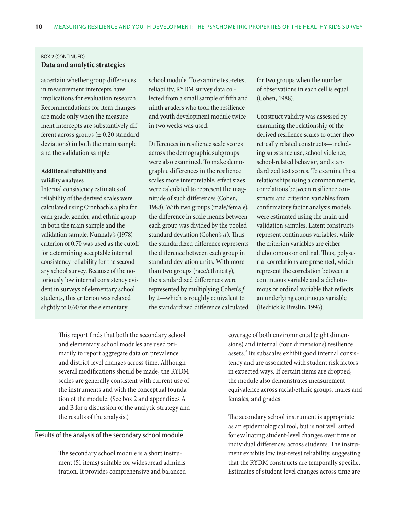### Box 2 (continued) **Data and analytic strategies**

ascertain whether group differences in measurement intercepts have implications for evaluation research. Recommendations for item changes are made only when the measurement intercepts are substantively different across groups (± 0.20 standard deviations) in both the main sample and the validation sample.

#### **Additional reliability and validity analyses**

Internal consistency estimates of reliability of the derived scales were calculated using Cronbach's alpha for each grade, gender, and ethnic group in both the main sample and the validation sample. Nunnaly's (1978) criterion of 0.70 was used as the cutoff for determining acceptable internal consistency reliability for the secondary school survey. Because of the notoriously low internal consistency evident in surveys of elementary school students, this criterion was relaxed slightly to 0.60 for the elementary

school module. To examine test-retest reliability, RYDM survey data collected from a small sample of fifth and ninth graders who took the resilience and youth development module twice in two weeks was used.

Differences in resilience scale scores across the demographic subgroups were also examined. To make demographic differences in the resilience scales more interpretable, effect sizes were calculated to represent the magnitude of such differences (Cohen, 1988). With two groups (male/female), the difference in scale means between each group was divided by the pooled standard deviation (Cohen's *d*). Thus the standardized difference represents the difference between each group in standard deviation units. With more than two groups (race/ethnicity), the standardized differences were represented by multiplying Cohen's *f* by 2—which is roughly equivalent to the standardized difference calculated

for two groups when the number of observations in each cell is equal (Cohen, 1988).

Construct validity was assessed by examining the relationship of the derived resilience scales to other theoretically related constructs—including substance use, school violence, school-related behavior, and standardized test scores. To examine these relationships using a common metric, correlations between resilience constructs and criterion variables from confirmatory factor analysis models were estimated using the main and validation samples. Latent constructs represent continuous variables, while the criterion variables are either dichotomous or ordinal. Thus, polyserial correlations are presented, which represent the correlation between a continuous variable and a dichotomous or ordinal variable that reflects an underlying continuous variable (Bedrick & Breslin, 1996).

This report finds that both the secondary school and elementary school modules are used primarily to report aggregate data on prevalence and district-level changes across time. Although several modifications should be made, the RYDM scales are generally consistent with current use of the instruments and with the conceptual foundation of the module. (See box 2 and appendixes A and B for a discussion of the analytic strategy and the results of the analysis.)

#### Results of the analysis of the secondary school module

The secondary school module is a short instrument (51 items) suitable for widespread administration. It provides comprehensive and balanced

coverage of both environmental (eight dimensions) and internal (four dimensions) resilience assets.<sup>5</sup> Its subscales exhibit good internal consistency and are associated with student risk factors in expected ways. If certain items are dropped, the module also demonstrates measurement equivalence across racial/ethnic groups, males and females, and grades.

The secondary school instrument is appropriate as an epidemiological tool, but is not well suited for evaluating student-level changes over time or individual differences across students. The instrument exhibits low test-retest reliability, suggesting that the RYDM constructs are temporally specific. Estimates of student-level changes across time are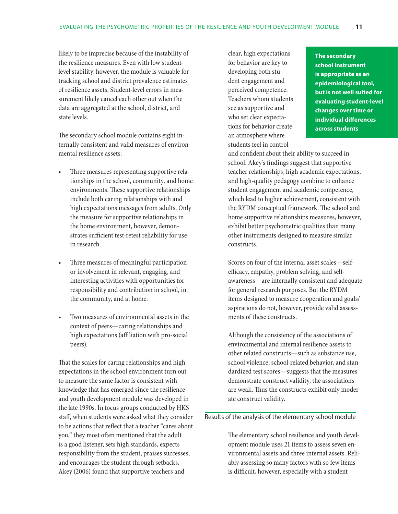likely to be imprecise because of the instability of the resilience measures. Even with low studentlevel stability, however, the module is valuable for tracking school and district prevalence estimates of resilience assets. Student-level errors in measurement likely cancel each other out when the data are aggregated at the school, district, and state levels.

The secondary school module contains eight internally consistent and valid measures of environmental resilience assets:

- Three measures representing supportive relationships in the school, community, and home environments. These supportive relationships include both caring relationships with and high expectations messages from adults. Only the measure for supportive relationships in the home environment, however, demonstrates sufficient test-retest reliability for use in research.
- Three measures of meaningful participation or involvement in relevant, engaging, and interesting activities with opportunities for responsibility and contribution in school, in the community, and at home.
- Two measures of environmental assets in the context of peers—caring relationships and high expectations (affiliation with pro-social peers).

That the scales for caring relationships and high expectations in the school environment turn out to measure the same factor is consistent with knowledge that has emerged since the resilience and youth development module was developed in the late 1990s. In focus groups conducted by HKS staff, when students were asked what they consider to be actions that reflect that a teacher "cares about you," they most often mentioned that the adult is a good listener, sets high standards, expects responsibility from the student, praises successes, and encourages the student through setbacks. Akey (2006) found that supportive teachers and

clear, high expectations for behavior are key to developing both student engagement and perceived competence. Teachers whom students see as supportive and who set clear expectations for behavior create an atmosphere where students feel in control

**The secondary school instrument is appropriate as an epidemiological tool, but is not well suited for evaluating student-level changes over time or individual differences across students**

and confident about their ability to succeed in school. Akey's findings suggest that supportive teacher relationships, high academic expectations, and high-quality pedagogy combine to enhance student engagement and academic competence, which lead to higher achievement, consistent with the RYDM conceptual framework. The school and home supportive relationships measures, however, exhibit better psychometric qualities than many other instruments designed to measure similar constructs.

Scores on four of the internal asset scales—selfefficacy, empathy, problem solving, and selfawareness—are internally consistent and adequate for general research purposes. But the RYDM items designed to measure cooperation and goals/ aspirations do not, however, provide valid assessments of these constructs.

Although the consistency of the associations of environmental and internal resilience assets to other related constructs—such as substance use, school violence, school-related behavior, and standardized test scores—suggests that the measures demonstrate construct validity, the associations are weak. Thus the constructs exhibit only moderate construct validity.

#### Results of the analysis of the elementary school module

The elementary school resilience and youth development module uses 21 items to assess seven environmental assets and three internal assets. Reliably assessing so many factors with so few items is difficult, however, especially with a student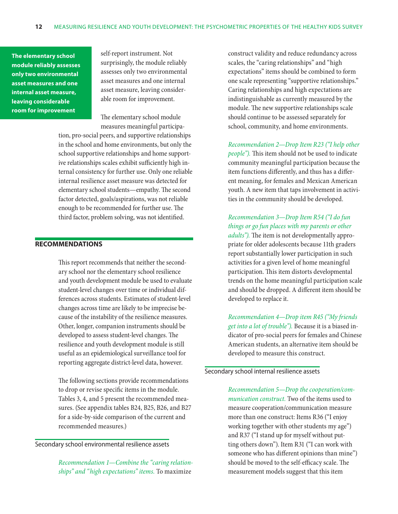**The elementary school module reliably assesses only two environmental asset measures and one internal asset measure, leaving considerable room for improvement**

self-report instrument. Not surprisingly, the module reliably assesses only two environmental asset measures and one internal asset measure, leaving considerable room for improvement.

The elementary school module measures meaningful participa-

tion, pro-social peers, and supportive relationships in the school and home environments, but only the school supportive relationships and home supportive relationships scales exhibit sufficiently high internal consistency for further use. Only one reliable internal resilience asset measure was detected for elementary school students—empathy. The second factor detected, goals/aspirations, was not reliable enough to be recommended for further use. The third factor, problem solving, was not identified.

#### **Recommendations**

This report recommends that neither the secondary school nor the elementary school resilience and youth development module be used to evaluate student-level changes over time or individual differences across students. Estimates of student-level changes across time are likely to be imprecise because of the instability of the resilience measures. Other, longer, companion instruments should be developed to assess student-level changes. The resilience and youth development module is still useful as an epidemiological surveillance tool for reporting aggregate district-level data, however.

The following sections provide recommendations to drop or revise specific items in the module. Tables 3, 4, and 5 present the recommended measures. (See appendix tables B24, B25, B26, and B27 for a side-by-side comparison of the current and recommended measures.)

Secondary school environmental resilience assets

*Recommendation 1—Combine the "caring relationships" and "high expectations" items.* To maximize

construct validity and reduce redundancy across scales, the "caring relationships" and "high expectations" items should be combined to form one scale representing "supportive relationships." Caring relationships and high expectations are indistinguishable as currently measured by the module. The new supportive relationships scale should continue to be assessed separately for school, community, and home environments.

*Recommendation 2—Drop Item R23 ("I help other people").* This item should not be used to indicate community meaningful participation because the item functions differently, and thus has a different meaning, for females and Mexican American youth. A new item that taps involvement in activities in the community should be developed.

*Recommendation 3—Drop Item R54 ("I do fun things or go fun places with my parents or other adults").* The item is not developmentally appropriate for older adolescents because 11th graders report substantially lower participation in such activities for a given level of home meaningful participation. This item distorts developmental trends on the home meaningful participation scale and should be dropped. A different item should be developed to replace it.

*Recommendation 4—Drop item R45 ("My friends get into a lot of trouble").* Because it is a biased indicator of pro-social peers for females and Chinese American students, an alternative item should be developed to measure this construct.

Secondary school internal resilience assets

*Recommendation 5—Drop the cooperation/communication construct.* Two of the items used to measure cooperation/communication measure more than one construct: Items R36 ("I enjoy working together with other students my age") and R37 ("I stand up for myself without putting others down"). Item R31 ("I can work with someone who has different opinions than mine") should be moved to the self-efficacy scale. The measurement models suggest that this item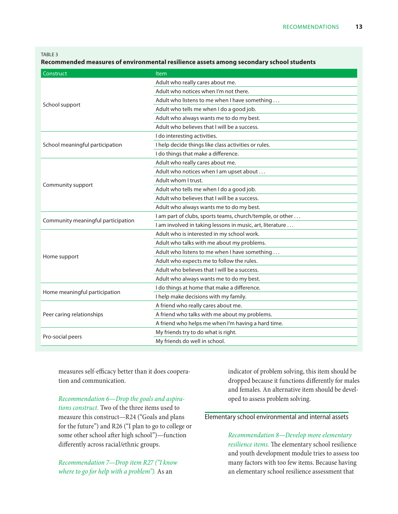TABLE<sub>3</sub>

**Recommended measures of environmental resilience assets among secondary school students** 

| Construct                          | <b>Item</b>                                               |
|------------------------------------|-----------------------------------------------------------|
|                                    | Adult who really cares about me.                          |
|                                    | Adult who notices when I'm not there.                     |
|                                    | Adult who listens to me when I have something             |
| School support                     | Adult who tells me when I do a good job.                  |
|                                    | Adult who always wants me to do my best.                  |
|                                    | Adult who believes that I will be a success.              |
|                                    | I do interesting activities.                              |
| School meaningful participation    | I help decide things like class activities or rules.      |
|                                    | I do things that make a difference.                       |
|                                    | Adult who really cares about me.                          |
|                                    | Adult who notices when I am upset about                   |
|                                    | Adult whom I trust.                                       |
| Community support                  | Adult who tells me when I do a good job.                  |
|                                    | Adult who believes that I will be a success.              |
|                                    | Adult who always wants me to do my best.                  |
|                                    | I am part of clubs, sports teams, church/temple, or other |
| Community meaningful participation | I am involved in taking lessons in music, art, literature |
|                                    | Adult who is interested in my school work.                |
|                                    | Adult who talks with me about my problems.                |
|                                    | Adult who listens to me when I have something             |
| Home support                       | Adult who expects me to follow the rules.                 |
|                                    | Adult who believes that I will be a success.              |
|                                    | Adult who always wants me to do my best.                  |
|                                    | I do things at home that make a difference.               |
| Home meaningful participation      | I help make decisions with my family.                     |
|                                    | A friend who really cares about me.                       |
| Peer caring relationships          | A friend who talks with me about my problems.             |
|                                    | A friend who helps me when I'm having a hard time.        |
|                                    | My friends try to do what is right.                       |
| Pro-social peers                   | My friends do well in school.                             |

measures self-efficacy better than it does cooperation and communication.

*Recommendation 6—Drop the goals and aspirations construct.* Two of the three items used to measure this construct—R24 ("Goals and plans for the future") and R26 ("I plan to go to college or some other school after high school")—function differently across racial/ethnic groups.

*Recommendation 7—Drop item R27 ("I know where to go for help with a problem").* As an

indicator of problem solving, this item should be dropped because it functions differently for males and females. An alternative item should be developed to assess problem solving.

#### Elementary school environmental and internal assets

*Recommendation 8—Develop more elementary resilience items.* The elementary school resilience and youth development module tries to assess too many factors with too few items. Because having an elementary school resilience assessment that